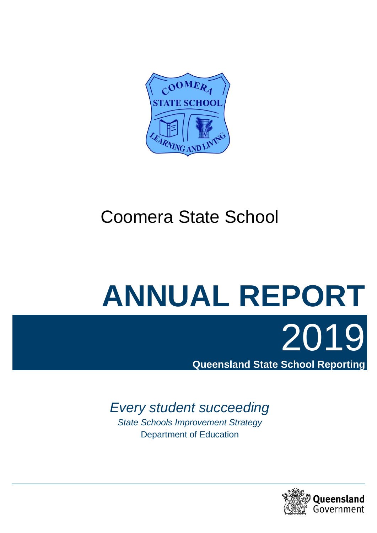

# Coomera State School

# **ANNUAL REPORT**

# *Every student succeeding*

*State Schools Improvement Strategy*  Department of Education



2019

**Queensland State School Reporting**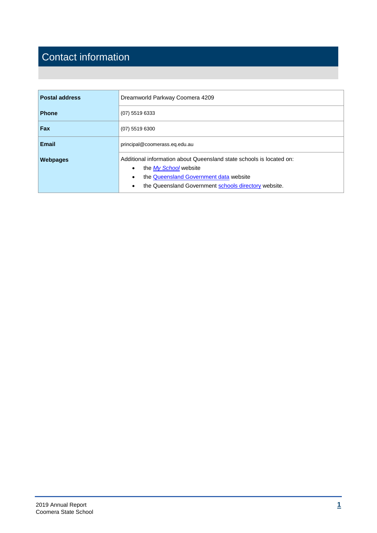# Contact information

| <b>Postal address</b> | Dreamworld Parkway Coomera 4209                                                                                                                                                                                                        |  |  |
|-----------------------|----------------------------------------------------------------------------------------------------------------------------------------------------------------------------------------------------------------------------------------|--|--|
| <b>Phone</b>          | $(07)$ 5519 6333                                                                                                                                                                                                                       |  |  |
| <b>Fax</b>            | $(07)$ 5519 6300                                                                                                                                                                                                                       |  |  |
| <b>Email</b>          | principal@coomerass.eq.edu.au                                                                                                                                                                                                          |  |  |
| <b>Webpages</b>       | Additional information about Queensland state schools is located on:<br>the My School website<br>$\bullet$<br>the Queensland Government data website<br>$\bullet$<br>the Queensland Government schools directory website.<br>$\bullet$ |  |  |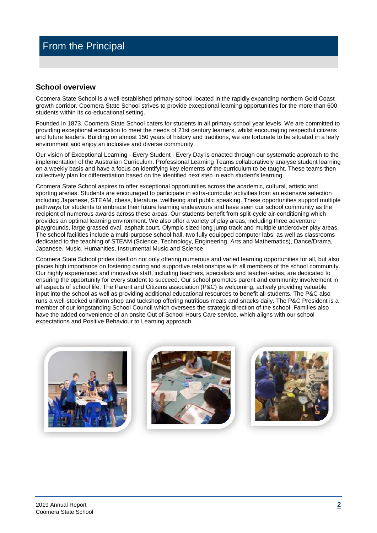# **School overview**

Coomera State School is a well-established primary school located in the rapidly expanding northern Gold Coast growth corridor. Coomera State School strives to provide exceptional learning opportunities for the more than 600 students within its co-educational setting.

Founded in 1873, Coomera State School caters for students in all primary school year levels. We are committed to providing exceptional education to meet the needs of 21st century learners, whilst encouraging respectful citizens and future leaders. Building on almost 150 years of history and traditions, we are fortunate to be situated in a leafy environment and enjoy an inclusive and diverse community.

Our vision of Exceptional Learning - Every Student - Every Day is enacted through our systematic approach to the implementation of the Australian Curriculum. Professional Learning Teams collaboratively analyse student learning on a weekly basis and have a focus on identifying key elements of the curriculum to be taught. These teams then collectively plan for differentiation based on the identified next step in each student's learning.

Coomera State School aspires to offer exceptional opportunities across the academic, cultural, artistic and sporting arenas. Students are encouraged to participate in extra-curricular activities from an extensive selection including Japanese, STEAM, chess, literature, wellbeing and public speaking. These opportunities support multiple pathways for students to embrace their future learning endeavours and have seen our school community as the recipient of numerous awards across these areas. Our students benefit from split-cycle air-conditioning which provides an optimal learning environment. We also offer a variety of play areas, including three adventure playgrounds, large grassed oval, asphalt court, Olympic sized long jump track and multiple undercover play areas. The school facilities include a multi-purpose school hall, two fully equipped computer labs, as well as classrooms dedicated to the teaching of STEAM (Science, Technology, Engineering, Arts and Mathematics), Dance/Drama, Japanese, Music, Humanities, Instrumental Music and Science.

Coomera State School prides itself on not only offering numerous and varied learning opportunities for all, but also places high importance on fostering caring and supportive relationships with all members of the school community. Our highly experienced and innovative staff, including teachers, specialists and teacher-aides, are dedicated to ensuring the opportunity for every student to succeed. Our school promotes parent and community involvement in all aspects of school life. The Parent and Citizens association (P&C) is welcoming, actively providing valuable input into the school as well as providing additional educational resources to benefit all students. The P&C also runs a well-stocked uniform shop and tuckshop offering nutritious meals and snacks daily. The P&C President is a member of our longstanding School Council which oversees the strategic direction of the school. Families also have the added convenience of an onsite Out of School Hours Care service, which aligns with our school expectations and Positive Behaviour to Learning approach.





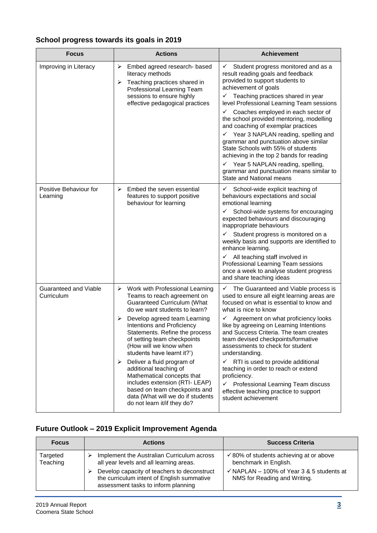# **School progress towards its goals in 2019**

| <b>Focus</b>                               | <b>Actions</b>                                                                                                                                                                                                                                                                                                                                                                                                                                                                                                                                                                                            | <b>Achievement</b>                                                                                                                                                                                                                                                                                                                                                                                                                                                                                                                                                                                                                                                                                     |
|--------------------------------------------|-----------------------------------------------------------------------------------------------------------------------------------------------------------------------------------------------------------------------------------------------------------------------------------------------------------------------------------------------------------------------------------------------------------------------------------------------------------------------------------------------------------------------------------------------------------------------------------------------------------|--------------------------------------------------------------------------------------------------------------------------------------------------------------------------------------------------------------------------------------------------------------------------------------------------------------------------------------------------------------------------------------------------------------------------------------------------------------------------------------------------------------------------------------------------------------------------------------------------------------------------------------------------------------------------------------------------------|
| Improving in Literacy                      | $\blacktriangleright$<br>Embed agreed research- based<br>literacy methods<br>Teaching practices shared in<br>➤<br>Professional Learning Team<br>sessions to ensure highly<br>effective pedagogical practices                                                                                                                                                                                                                                                                                                                                                                                              | Student progress monitored and as a<br>$\checkmark$<br>result reading goals and feedback<br>provided to support students to<br>achievement of goals<br>$\checkmark$ Teaching practices shared in year<br>level Professional Learning Team sessions<br>$\checkmark$ Coaches employed in each sector of<br>the school provided mentoring, modelling<br>and coaching of exemplar practices<br>$\checkmark$ Year 3 NAPLAN reading, spelling and<br>grammar and punctuation above similar<br>State Schools with 55% of students<br>achieving in the top 2 bands for reading<br>$\checkmark$ Year 5 NAPLAN reading, spelling,<br>grammar and punctuation means similar to<br><b>State and National means</b> |
| Positive Behaviour for<br>Learning         | $\blacktriangleright$<br>Embed the seven essential<br>features to support positive<br>behaviour for learning                                                                                                                                                                                                                                                                                                                                                                                                                                                                                              | $\checkmark$ School-wide explicit teaching of<br>behaviours expectations and social<br>emotional learning<br>$\checkmark$ School-wide systems for encouraging<br>expected behaviours and discouraging<br>inappropriate behaviours<br>$\checkmark$ Student progress is monitored on a<br>weekly basis and supports are identified to<br>enhance learning.<br>$\checkmark$ All teaching staff involved in<br>Professional Learning Team sessions<br>once a week to analyse student progress<br>and share teaching ideas                                                                                                                                                                                  |
| <b>Guaranteed and Viable</b><br>Curriculum | $\blacktriangleright$<br>Work with Professional Learning<br>Teams to reach agreement on<br>Guaranteed Curriculum (What<br>do we want students to learn?<br>$\blacktriangleright$<br>Develop agreed team Learning<br>Intentions and Proficiency<br>Statements. Refine the process<br>of setting team checkpoints<br>(How will we know when<br>students have learnt it?')<br>Deliver a fluid program of<br>➤<br>additional teaching of<br>Mathematical concepts that<br>includes extension (RTI- LEAP)<br>based on team checkpoints and<br>data (What will we do if students<br>do not learn it/if they do? | $\checkmark$ The Guaranteed and Viable process is<br>used to ensure all eight learning areas are<br>focused on what is essential to know and<br>what is nice to know<br>$\checkmark$<br>Agreement on what proficiency looks<br>like by agreeing on Learning Intentions<br>and Success Criteria. The team creates<br>team devised checkpoints/formative<br>assessments to check for student<br>understanding.<br>RTI is used to provide additional<br>$\checkmark$<br>teaching in order to reach or extend<br>proficiency.<br>Professional Learning Team discuss<br>$\checkmark$<br>effective teaching practice to support<br>student achievement                                                       |

# **Future Outlook – 2019 Explicit Improvement Agenda**

| <b>Focus</b>         | <b>Actions</b>                                                                                                                   | <b>Success Criteria</b>                                                              |
|----------------------|----------------------------------------------------------------------------------------------------------------------------------|--------------------------------------------------------------------------------------|
| Targeted<br>Teaching | Implement the Australian Curriculum across<br>all year levels and all learning areas.                                            | $\checkmark$ 80% of students achieving at or above<br>benchmark in English.          |
|                      | Develop capacity of teachers to deconstruct<br>the curriculum intent of English summative<br>assessment tasks to inform planning | $\checkmark$ NAPLAN – 100% of Year 3 & 5 students at<br>NMS for Reading and Writing. |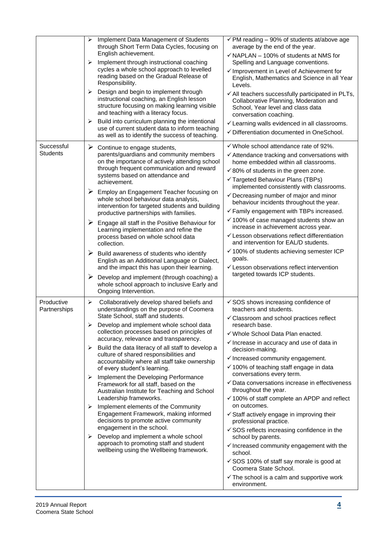|                               | ≻<br>≻<br>≻                | Implement Data Management of Students<br>through Short Term Data Cycles, focusing on<br>English achievement.<br>Implement through instructional coaching<br>cycles a whole school approach to levelled<br>reading based on the Gradual Release of<br>Responsibility.<br>Design and begin to implement through<br>instructional coaching, an English lesson<br>structure focusing on making learning visible                                                                                                                                                                                                                                                                                                                                                                                                                                                                                          | $\overline{\checkmark}$ PM reading - 90% of students at/above age<br>average by the end of the year.<br>$\checkmark$ NAPLAN - 100% of students at NMS for<br>Spelling and Language conventions.<br>$\checkmark$ Improvement in Level of Achievement for<br>English, Mathematics and Science in all Year<br>Levels.<br>✓ All teachers successfully participated in PLTs,<br>Collaborative Planning, Moderation and<br>School, Year level and class data                                                                                                                                                                                                                                                                                                                                                                                                                                                                                |
|-------------------------------|----------------------------|------------------------------------------------------------------------------------------------------------------------------------------------------------------------------------------------------------------------------------------------------------------------------------------------------------------------------------------------------------------------------------------------------------------------------------------------------------------------------------------------------------------------------------------------------------------------------------------------------------------------------------------------------------------------------------------------------------------------------------------------------------------------------------------------------------------------------------------------------------------------------------------------------|---------------------------------------------------------------------------------------------------------------------------------------------------------------------------------------------------------------------------------------------------------------------------------------------------------------------------------------------------------------------------------------------------------------------------------------------------------------------------------------------------------------------------------------------------------------------------------------------------------------------------------------------------------------------------------------------------------------------------------------------------------------------------------------------------------------------------------------------------------------------------------------------------------------------------------------|
|                               | ➤                          | and teaching with a literacy focus.<br>Build into curriculum planning the intentional<br>use of current student data to inform teaching<br>as well as to identify the success of teaching.                                                                                                                                                                                                                                                                                                                                                                                                                                                                                                                                                                                                                                                                                                           | conversation coaching.<br>✓ Learning walls evidenced in all classrooms.<br>✓ Differentiation documented in OneSchool.                                                                                                                                                                                                                                                                                                                                                                                                                                                                                                                                                                                                                                                                                                                                                                                                                 |
| Successful<br><b>Students</b> | ➤                          | $\triangleright$ Continue to engage students,<br>parents/guardians and community members<br>on the importance of actively attending school<br>through frequent communication and reward<br>systems based on attendance and<br>achievement.<br>$\triangleright$ Employ an Engagement Teacher focusing on<br>whole school behaviour data analysis,<br>intervention for targeted students and building<br>productive partnerships with families.<br>$\triangleright$ Engage all staff in the Positive Behaviour for<br>Learning implementation and refine the<br>process based on whole school data<br>collection.<br>$\triangleright$ Build awareness of students who identify<br>English as an Additional Language or Dialect,<br>and the impact this has upon their learning.<br>Develop and implement (through coaching) a<br>whole school approach to inclusive Early and<br>Ongoing Intervention. | $\checkmark$ Whole school attendance rate of 92%.<br>$\checkmark$ Attendance tracking and conversations with<br>home embedded within all classrooms.<br>$\checkmark$ 80% of students in the green zone.<br>√ Targeted Behaviour Plans (TBPs)<br>implemented consistently with classrooms.<br>$\checkmark$ Decreasing number of major and minor<br>behaviour incidents throughout the year.<br>$\checkmark$ Family engagement with TBPs increased.<br>$\checkmark$ 100% of case managed students show an<br>increase in achievement across year.<br>← Lesson observations reflect differentiation<br>and intervention for EAL/D students.<br>$\checkmark$ 100% of students achieving semester ICP<br>goals.<br>← Lesson observations reflect intervention<br>targeted towards ICP students.                                                                                                                                            |
| Productive<br>Partnerships    | ≻<br>➤<br>⋗<br>≻<br>➤<br>≻ | Collaboratively develop shared beliefs and<br>understandings on the purpose of Coomera<br>State School, staff and students.<br>Develop and implement whole school data<br>collection processes based on principles of<br>accuracy, relevance and transparency.<br>Build the data literacy of all staff to develop a<br>culture of shared responsibilities and<br>accountability where all staff take ownership<br>of every student's learning.<br>Implement the Developing Performance<br>Framework for all staff, based on the<br>Australian Institute for Teaching and School<br>Leadership frameworks.<br>Implement elements of the Community<br>Engagement Framework, making informed<br>decisions to promote active community<br>engagement in the school.<br>Develop and implement a whole school<br>approach to promoting staff and student<br>wellbeing using the Wellbeing framework.       | $\checkmark$ SOS shows increasing confidence of<br>teachers and students.<br>✓ Classroom and school practices reflect<br>research base.<br>√ Whole School Data Plan enacted.<br>$\checkmark$ Increase in accuracy and use of data in<br>decision-making.<br>$\checkmark$ Increased community engagement.<br>$\checkmark$ 100% of teaching staff engage in data<br>conversations every term.<br>✓ Data conversations increase in effectiveness<br>throughout the year.<br>$\checkmark$ 100% of staff complete an APDP and reflect<br>on outcomes.<br>$\checkmark$ Staff actively engage in improving their<br>professional practice.<br>$\checkmark$ SOS reflects increasing confidence in the<br>school by parents.<br>$\checkmark$ Increased community engagement with the<br>school.<br>✓ SOS 100% of staff say morale is good at<br>Coomera State School.<br>$\checkmark$ The school is a calm and supportive work<br>environment. |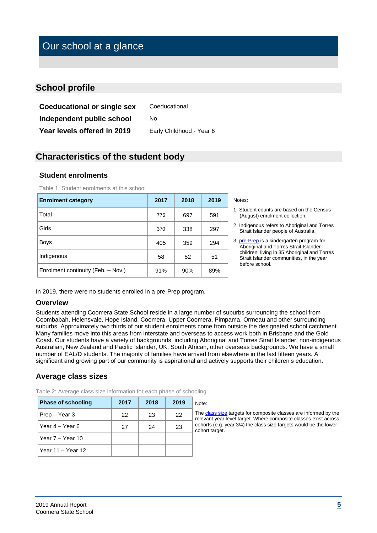# Our school at a glance

# **School profile**

**Coeducational or single sex** Coeducational **Independent public school** No Year levels offered in 2019 Early Childhood - Year 6

# **Characteristics of the student body**

# **Student enrolments**

| <b>Enrolment category</b>          | 2017 | 2018 | 2019 |
|------------------------------------|------|------|------|
| Total                              | 775  | 697  | 591  |
| Girls                              | 370  | 338  | 297  |
| <b>Boys</b>                        | 405  | 359  | 294  |
| Indigenous                         | 58   | 52   | 51   |
| Enrolment continuity (Feb. - Nov.) | 91%  | 90%  | 89%  |

Table 1: Student enrolments at this school

- 1. Student counts are based on the Census (August) enrolment collection.
- 2. Indigenous refers to Aboriginal and Torres Strait Islander people of Australia.
- 3. [pre-Prep](https://earlychildhood.qld.gov.au/early-years/kindergarten-programs/kindergarten-in-indigenous-communities) is a kindergarten program for Aboriginal and Torres Strait Islander children, living in 35 Aboriginal and Torres Strait Islander communities, in the year before school.

In 2019, there were no students enrolled in a pre-Prep program.

# **Overview**

Students attending Coomera State School reside in a large number of suburbs surrounding the school from Coombabah, Helensvale, Hope Island, Coomera, Upper Coomera, Pimpama, Ormeau and other surrounding suburbs. Approximately two thirds of our student enrolments come from outside the designated school catchment. Many families move into this areas from interstate and overseas to access work both in Brisbane and the Gold Coast. Our students have a variety of backgrounds, including Aboriginal and Torres Strait Islander, non-indigenous Australian, New Zealand and Pacific Islander, UK, South African, other overseas backgrounds. We have a small number of EAL/D students. The majority of families have arrived from elsewhere in the last fifteen years. A significant and growing part of our community is aspirational and actively supports their children's education.

# **Average class sizes**

| <b>Phase of schooling</b> | 2017 | 2018 | 2019 | Note:                  |
|---------------------------|------|------|------|------------------------|
| Prep – Year 3             | 22   | 23   | 22   | The <u>c</u><br>releva |
| Year 4 – Year 6           | 27   | 24   | 23   | cohor<br>cohor         |
| Year $7 -$ Year 10        |      |      |      |                        |
| Year $11 -$ Year $12$     |      |      |      |                        |

Table 2: Average class size information for each phase of schooling

h[e class size](https://qed.qld.gov.au/publications/reports/statistics/schooling/schools) targets for composite classes are informed by the levant year level target. Where composite classes exist across cohorts (e.g. year 3/4) the class size targets would be the lower ohort target.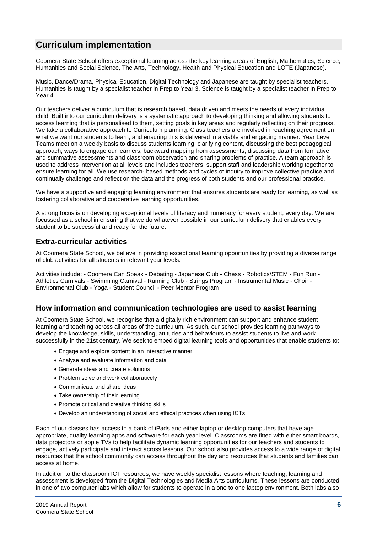# **Curriculum implementation**

Coomera State School offers exceptional learning across the key learning areas of English, Mathematics, Science, Humanities and Social Science, The Arts, Technology, Health and Physical Education and LOTE (Japanese).

Music, Dance/Drama, Physical Education, Digital Technology and Japanese are taught by specialist teachers. Humanities is taught by a specialist teacher in Prep to Year 3. Science is taught by a specialist teacher in Prep to Year 4.

Our teachers deliver a curriculum that is research based, data driven and meets the needs of every individual child. Built into our curriculum delivery is a systematic approach to developing thinking and allowing students to access learning that is personalised to them, setting goals in key areas and regularly reflecting on their progress. We take a collaborative approach to Curriculum planning. Class teachers are involved in reaching agreement on what we want our students to learn, and ensuring this is delivered in a viable and engaging manner. Year Level Teams meet on a weekly basis to discuss students learning; clarifying content, discussing the best pedagogical approach, ways to engage our learners, backward mapping from assessments, discussing data from formative and summative assessments and classroom observation and sharing problems of practice. A team approach is used to address intervention at all levels and includes teachers, support staff and leadership working together to ensure learning for all. We use research- based methods and cycles of inquiry to improve collective practice and continually challenge and reflect on the data and the progress of both students and our professional practice.

We have a supportive and engaging learning environment that ensures students are ready for learning, as well as fostering collaborative and cooperative learning opportunities.

A strong focus is on developing exceptional levels of literacy and numeracy for every student, every day. We are focussed as a school in ensuring that we do whatever possible in our curriculum delivery that enables every student to be successful and ready for the future.

# **Extra-curricular activities**

At Coomera State School, we believe in providing exceptional learning opportunities by providing a diverse range of club activities for all students in relevant year levels.

Activities include: - Coomera Can Speak - Debating - Japanese Club - Chess - Robotics/STEM - Fun Run - Athletics Carnivals - Swimming Carnival - Running Club - Strings Program - Instrumental Music - Choir - Environmental Club - Yoga - Student Council - Peer Mentor Program

# **How information and communication technologies are used to assist learning**

At Coomera State School, we recognise that a digitally rich environment can support and enhance student learning and teaching across all areas of the curriculum. As such, our school provides learning pathways to develop the knowledge, skills, understanding, attitudes and behaviours to assist students to live and work successfully in the 21st century. We seek to embed digital learning tools and opportunities that enable students to:

- Engage and explore content in an interactive manner
- Analyse and evaluate information and data
- Generate ideas and create solutions
- Problem solve and work collaboratively
- Communicate and share ideas
- Take ownership of their learning
- Promote critical and creative thinking skills
- Develop an understanding of social and ethical practices when using ICTs

Each of our classes has access to a bank of iPads and either laptop or desktop computers that have age appropriate, quality learning apps and software for each year level. Classrooms are fitted with either smart boards, data projectors or apple TVs to help facilitate dynamic learning opportunities for our teachers and students to engage, actively participate and interact across lessons. Our school also provides access to a wide range of digital resources that the school community can access throughout the day and resources that students and families can access at home.

In addition to the classroom ICT resources, we have weekly specialist lessons where teaching, learning and assessment is developed from the Digital Technologies and Media Arts curriculums. These lessons are conducted in one of two computer labs which allow for students to operate in a one to one laptop environment. Both labs also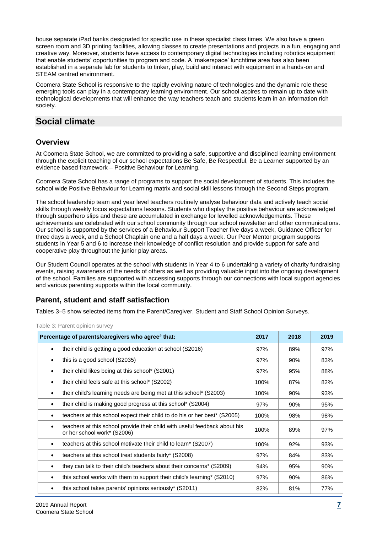house separate iPad banks designated for specific use in these specialist class times. We also have a green screen room and 3D printing facilities, allowing classes to create presentations and projects in a fun, engaging and creative way. Moreover, students have access to contemporary digital technologies including robotics equipment that enable students' opportunities to program and code. A 'makerspace' lunchtime area has also been established in a separate lab for students to tinker, play, build and interact with equipment in a hands-on and STEAM centred environment.

Coomera State School is responsive to the rapidly evolving nature of technologies and the dynamic role these emerging tools can play in a contemporary learning environment. Our school aspires to remain up to date with technological developments that will enhance the way teachers teach and students learn in an information rich society.

# **Social climate**

# **Overview**

At Coomera State School, we are committed to providing a safe, supportive and disciplined learning environment through the explicit teaching of our school expectations Be Safe, Be Respectful, Be a Learner supported by an evidence based framework – Positive Behaviour for Learning.

Coomera State School has a range of programs to support the social development of students. This includes the school wide Positive Behaviour for Learning matrix and social skill lessons through the Second Steps program.

The school leadership team and year level teachers routinely analyse behaviour data and actively teach social skills through weekly focus expectations lessons. Students who display the positive behaviour are acknowledged through superhero slips and these are accumulated in exchange for levelled acknowledgements. These achievements are celebrated with our school community through our school newsletter and other communications. Our school is supported by the services of a Behaviour Support Teacher five days a week, Guidance Officer for three days a week, and a School Chaplain one and a half days a week. Our Peer Mentor program supports students in Year 5 and 6 to increase their knowledge of conflict resolution and provide support for safe and cooperative play throughout the junior play areas.

Our Student Council operates at the school with students in Year 4 to 6 undertaking a variety of charity fundraising events, raising awareness of the needs of others as well as providing valuable input into the ongoing development of the school. Families are supported with accessing supports through our connections with local support agencies and various parenting supports within the local community.

# **Parent, student and staff satisfaction**

Tables 3–5 show selected items from the Parent/Caregiver, Student and Staff School Opinion Surveys.

| Percentage of parents/caregivers who agree# that:                                                         | 2017 | 2018 | 2019 |
|-----------------------------------------------------------------------------------------------------------|------|------|------|
| their child is getting a good education at school (S2016)                                                 | 97%  | 89%  | 97%  |
| this is a good school (S2035)                                                                             | 97%  | 90%  | 83%  |
| their child likes being at this school* (S2001)                                                           | 97%  | 95%  | 88%  |
| their child feels safe at this school* (S2002)                                                            | 100% | 87%  | 82%  |
| their child's learning needs are being met at this school* (S2003)                                        | 100% | 90%  | 93%  |
| their child is making good progress at this school* (S2004)                                               | 97%  | 90%  | 95%  |
| teachers at this school expect their child to do his or her best <sup>*</sup> (S2005)                     | 100% | 98%  | 98%  |
| teachers at this school provide their child with useful feedback about his<br>or her school work* (S2006) | 100% | 89%  | 97%  |
| teachers at this school motivate their child to learn* (S2007)                                            | 100% | 92%  | 93%  |
| teachers at this school treat students fairly* (S2008)                                                    | 97%  | 84%  | 83%  |
| they can talk to their child's teachers about their concerns* (S2009)                                     | 94%  | 95%  | 90%  |
| this school works with them to support their child's learning* (S2010)                                    | 97%  | 90%  | 86%  |
| this school takes parents' opinions seriously* (S2011)                                                    | 82%  | 81%  | 77%  |

# Table 3: Parent opinion survey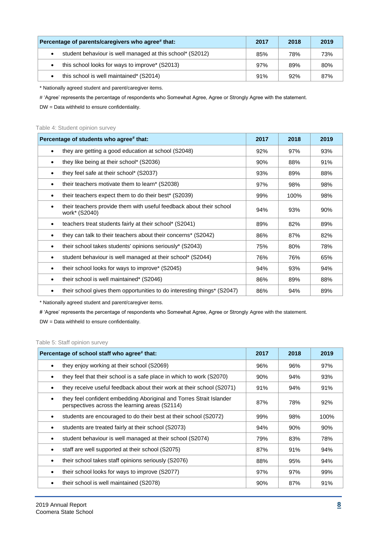| Percentage of parents/caregivers who agree# that:         |     | 2018 | 2019 |
|-----------------------------------------------------------|-----|------|------|
| student behaviour is well managed at this school* (S2012) | 85% | 78%  | 73%  |
| this school looks for ways to improve* (S2013)            | 97% | 89%  | 80%  |
| this school is well maintained* (S2014)                   | 91% | 92%  | 87%  |

\* Nationally agreed student and parent/caregiver items.

# 'Agree' represents the percentage of respondents who Somewhat Agree, Agree or Strongly Agree with the statement.

DW = Data withheld to ensure confidentiality.

#### Table 4: Student opinion survey

| Percentage of students who agree# that:                                              | 2017 | 2018 | 2019 |
|--------------------------------------------------------------------------------------|------|------|------|
| they are getting a good education at school (S2048)<br>$\bullet$                     | 92%  | 97%  | 93%  |
| they like being at their school* (S2036)                                             | 90%  | 88%  | 91%  |
| they feel safe at their school* (S2037)                                              | 93%  | 89%  | 88%  |
| their teachers motivate them to learn* (S2038)<br>٠                                  | 97%  | 98%  | 98%  |
| their teachers expect them to do their best <sup>*</sup> (S2039)<br>$\bullet$        | 99%  | 100% | 98%  |
| their teachers provide them with useful feedback about their school<br>work* (S2040) | 94%  | 93%  | 90%  |
| teachers treat students fairly at their school* (S2041)                              | 89%  | 82%  | 89%  |
| they can talk to their teachers about their concerns* (S2042)                        | 86%  | 87%  | 82%  |
| their school takes students' opinions seriously* (S2043)                             | 75%  | 80%  | 78%  |
| student behaviour is well managed at their school* (S2044)                           | 76%  | 76%  | 65%  |
| their school looks for ways to improve* (S2045)                                      | 94%  | 93%  | 94%  |
| their school is well maintained* (S2046)<br>٠                                        | 86%  | 89%  | 88%  |
| their school gives them opportunities to do interesting things* (S2047)              | 86%  | 94%  | 89%  |

\* Nationally agreed student and parent/caregiver items.

# 'Agree' represents the percentage of respondents who Somewhat Agree, Agree or Strongly Agree with the statement.

DW = Data withheld to ensure confidentiality.

### Table 5: Staff opinion survey

| Percentage of school staff who agree# that:                                                                           | 2017 | 2018 | 2019 |
|-----------------------------------------------------------------------------------------------------------------------|------|------|------|
| they enjoy working at their school (S2069)                                                                            | 96%  | 96%  | 97%  |
| they feel that their school is a safe place in which to work (S2070)                                                  | 90%  | 94%  | 93%  |
| they receive useful feedback about their work at their school (S2071)                                                 | 91%  | 94%  | 91%  |
| they feel confident embedding Aboriginal and Torres Strait Islander<br>perspectives across the learning areas (S2114) | 87%  | 78%  | 92%  |
| students are encouraged to do their best at their school (S2072)                                                      | 99%  | 98%  | 100% |
| students are treated fairly at their school (S2073)                                                                   | 94%  | 90%  | 90%  |
| student behaviour is well managed at their school (S2074)                                                             | 79%  | 83%  | 78%  |
| staff are well supported at their school (S2075)                                                                      | 87%  | 91%  | 94%  |
| their school takes staff opinions seriously (S2076)                                                                   | 88%  | 95%  | 94%  |
| their school looks for ways to improve (S2077)                                                                        | 97%  | 97%  | 99%  |
| their school is well maintained (S2078)                                                                               | 90%  | 87%  | 91%  |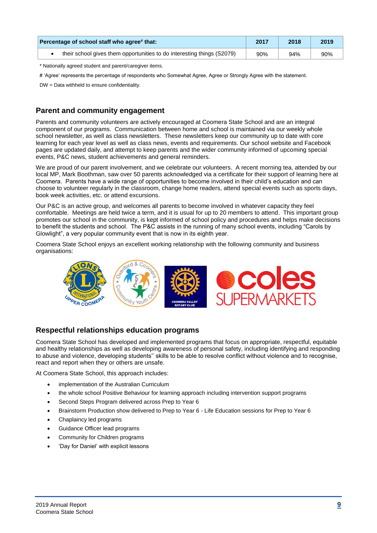| Percentage of school staff who agree# that:                            | 2017 | 2018 | 2019 |
|------------------------------------------------------------------------|------|------|------|
| their school gives them opportunities to do interesting things (S2079) | 90%  | 94%  | 90%  |

\* Nationally agreed student and parent/caregiver items.

# 'Agree' represents the percentage of respondents who Somewhat Agree, Agree or Strongly Agree with the statement.

DW = Data withheld to ensure confidentiality.

# **Parent and community engagement**

Parents and community volunteers are actively encouraged at Coomera State School and are an integral component of our programs. Communication between home and school is maintained via our weekly whole school newsletter, as well as class newsletters. These newsletters keep our community up to date with core learning for each year level as well as class news, events and requirements. Our school website and Facebook pages are updated daily, and attempt to keep parents and the wider community informed of upcoming special events, P&C news, student achievements and general reminders.

We are proud of our parent involvement, and we celebrate our volunteers. A recent morning tea, attended by our local MP, Mark Boothman, saw over 50 parents acknowledged via a certificate for their support of learning here at Coomera. Parents have a wide range of opportunities to become involved in their child's education and can choose to volunteer regularly in the classroom, change home readers, attend special events such as sports days, book week activities, etc. or attend excursions.

Our P&C is an active group, and welcomes all parents to become involved in whatever capacity they feel comfortable. Meetings are held twice a term, and it is usual for up to 20 members to attend. This important group promotes our school in the community, is kept informed of school policy and procedures and helps make decisions to benefit the students and school. The P&C assists in the running of many school events, including "Carols by Glowlight", a very popular community event that is now in its eighth year.

Coomera State School enjoys an excellent working relationship with the following community and business organisations:



# **Respectful relationships education programs**

Coomera State School has developed and implemented programs that focus on appropriate, respectful, equitable and healthy relationships as well as developing awareness of personal safety, including identifying and responding to abuse and violence, developing students'' skills to be able to resolve conflict without violence and to recognise, react and report when they or others are unsafe.

At Coomera State School, this approach includes:

- implementation of the Australian Curriculum
- the whole school Positive Behaviour for learning approach including intervention support programs
- Second Steps Program delivered across Prep to Year 6
- Brainstorm Production show delivered to Prep to Year 6 Life Education sessions for Prep to Year 6
- Chaplaincy led programs
- Guidance Officer lead programs
- Community for Children programs
- 'Day for Daniel' with explicit lessons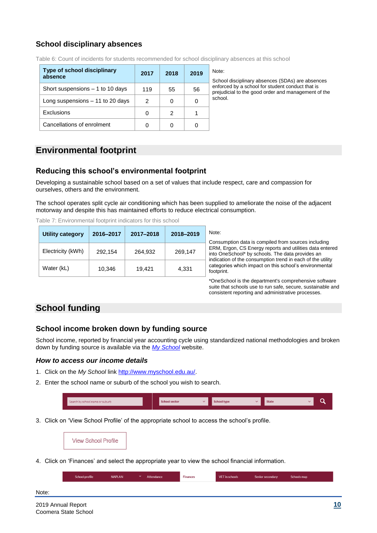# **School disciplinary absences**

| <b>Type of school disciplinary</b><br>absence | 2017 | 2018 | 2019 | Note:<br>Scho  |
|-----------------------------------------------|------|------|------|----------------|
| Short suspensions $-1$ to 10 days             | 119  | 55   | 56   | enfor<br>preju |
| Long suspensions $-11$ to 20 days             | 2    |      |      | schoo          |
| Exclusions                                    |      | 2    |      |                |
| Cancellations of enrolment                    |      |      |      |                |

Table 6: Count of incidents for students recommended for school disciplinary absences at this school

School disciplinary absences (SDAs) are absences nforced by a school for student conduct that is rejudicial to the good order and management of the chool.

# **Environmental footprint**

# **Reducing this school's environmental footprint**

Developing a sustainable school based on a set of values that include respect, care and compassion for ourselves, others and the environment.

The school operates split cycle air conditioning which has been supplied to ameliorate the noise of the adjacent motorway and despite this has maintained efforts to reduce electrical consumption.

Table 7: Environmental footprint indicators for this school

| <b>Utility category</b> | 2016-2017 | 2017-2018 | 2018-2019 | N<br>С         |
|-------------------------|-----------|-----------|-----------|----------------|
| Electricity (kWh)       | 292,154   | 264,932   | 269,147   | EI<br>in<br>in |
| Water (kL)              | 10,346    | 19,421    | 4,331     | Cá<br>fo       |

lote: Consumption data is compiled from sources including ERM, Ergon, CS Energy reports and utilities data entered into OneSchool\* by schools. The data provides an indication of the consumption trend in each of the utility ategories which impact on this school's environmental otprint.

\*OneSchool is the department's comprehensive software suite that schools use to run safe, secure, sustainable and consistent reporting and administrative processes.

# **School funding**

# **School income broken down by funding source**

School income, reported by financial year accounting cycle using standardized national methodologies and broken down by funding source is available via the *[My School](http://www.myschool.edu.au/)* website.

# *How to access our income details*

- 1. Click on the *My School* link [http://www.myschool.edu.au/.](http://www.myschool.edu.au/)
- 2. Enter the school name or suburb of the school you wish to search.

| Search by school name or suburb |  | <b>School sector</b> | School type | <b>State</b> |  |
|---------------------------------|--|----------------------|-------------|--------------|--|
|                                 |  |                      |             |              |  |

3. Click on 'View School Profile' of the appropriate school to access the school's profile.

**View School Profile** 

4. Click on 'Finances' and select the appropriate year to view the school financial information.

| School profile | <b>NAPLAN</b> | $\mathbf{v}$ . | Attendance | <b>Finances</b> | VET in schools | Senior secondary | Schools map |
|----------------|---------------|----------------|------------|-----------------|----------------|------------------|-------------|
|                |               |                |            |                 |                |                  |             |

Note: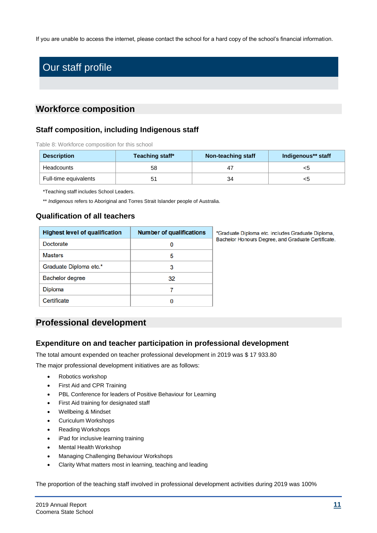If you are unable to access the internet, please contact the school for a hard copy of the school's financial information.

# Our staff profile

# **Workforce composition**

# **Staff composition, including Indigenous staff**

Table 8: Workforce composition for this school

| <b>Description</b>    | Teaching staff* | Non-teaching staff | Indigenous** staff |
|-----------------------|-----------------|--------------------|--------------------|
| Headcounts            | 58              |                    | <ວ                 |
| Full-time equivalents | 51              | 34                 | <ວ                 |

\*Teaching staff includes School Leaders.

\*\* *Indigenous* refers to Aboriginal and Torres Strait Islander people of Australia.

# **Qualification of all teachers**

| <b>Highest level of qualification</b> | <b>Number of qualifications</b> |
|---------------------------------------|---------------------------------|
| <b>Doctorate</b>                      |                                 |
| <b>Masters</b>                        | 5                               |
| Graduate Diploma etc.*                | 3                               |
| <b>Bachelor degree</b>                | 32                              |
| <b>Diploma</b>                        | 7                               |
| Certificate                           |                                 |

\*Graduate Diploma etc. includes Graduate Diploma, Bachelor Honours Degree, and Graduate Certificate.

# **Professional development**

# **Expenditure on and teacher participation in professional development**

The total amount expended on teacher professional development in 2019 was \$ 17 933.80

The major professional development initiatives are as follows:

- Robotics workshop
- First Aid and CPR Training
- PBL Conference for leaders of Positive Behaviour for Learning
- First Aid training for designated staff
- Wellbeing & Mindset
- Curiculum Workshops
- Reading Workshops
- iPad for inclusive learning training
- Mental Health Workshop
- Managing Challenging Behaviour Workshops
- Clarity What matters most in learning, teaching and leading

The proportion of the teaching staff involved in professional development activities during 2019 was 100%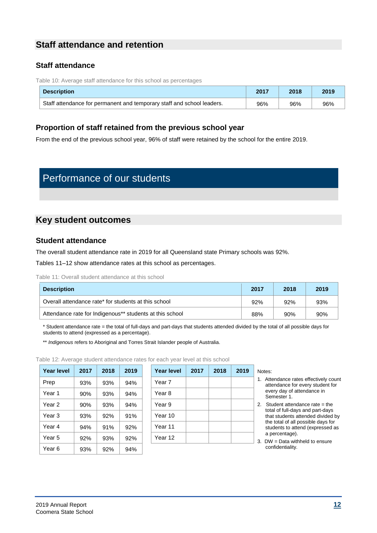# **Staff attendance and retention**

# **Staff attendance**

Table 10: Average staff attendance for this school as percentages

| <b>Description</b>                                                     | 2017 | 2018 | 2019 |
|------------------------------------------------------------------------|------|------|------|
| Staff attendance for permanent and temporary staff and school leaders. | 96%  | 96%  | 96%  |

# **Proportion of staff retained from the previous school year**

From the end of the previous school year, 96% of staff were retained by the school for the entire 2019.

# Performance of our students

# **Key student outcomes**

# **Student attendance**

The overall student attendance rate in 2019 for all Queensland state Primary schools was 92%.

Tables 11–12 show attendance rates at this school as percentages.

#### Table 11: Overall student attendance at this school

| <b>Description</b>                                       | 2017 | 2018 | 2019 |
|----------------------------------------------------------|------|------|------|
| Overall attendance rate* for students at this school     | 92%  | 92%  | 93%  |
| Attendance rate for Indigenous** students at this school | 88%  | 90%  | 90%  |

\* Student attendance rate = the total of full-days and part-days that students attended divided by the total of all possible days for students to attend (expressed as a percentage).

\*\* *Indigenous* refers to Aboriginal and Torres Strait Islander people of Australia.

Table 12: Average student attendance rates for each year level at this school

| <b>Year level</b> | 2017 | 2018 | 2019 | Year k |
|-------------------|------|------|------|--------|
| Prep              | 93%  | 93%  | 94%  | Year 7 |
| Year 1            | 90%  | 93%  | 94%  | Year 8 |
| Year <sub>2</sub> | 90%  | 93%  | 94%  | Year 9 |
| Year <sub>3</sub> | 93%  | 92%  | 91%  | Year 1 |
| Year 4            | 94%  | 91%  | 92%  | Year 1 |
| Year 5            | 92%  | 93%  | 92%  | Year 1 |
| Year 6            | 93%  | 92%  | 94%  |        |

**Year level 2017 2018 2019 Year level 2017 2018 2019** Notes: Year 7 Year 9 Year 10 Year 11 Year 12

- 1. Attendance rates effectively count attendance for every student for every day of attendance in Semester 1.
- 2. Student attendance rate = the total of full-days and part-days that students attended divided by the total of all possible days for students to attend (expressed as a percentage).
- 3. DW = Data withheld to ensure confidentiality.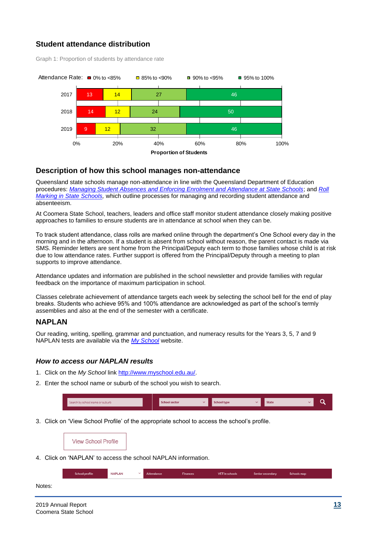# **Student attendance distribution**

Graph 1: Proportion of students by attendance rate



# **Description of how this school manages non-attendance**

Queensland state schools manage non-attendance in line with the Queensland Department of Education procedures: *[Managing Student Absences and Enforcing Enrolment and Attendance at State Schools](http://ppr.det.qld.gov.au/education/management/Pages/Managing-Student-Absences-and-Enforcing-Enrolment-and-Attendance-at-State-Schools.aspx)*; and *[Roll](http://ppr.det.qld.gov.au/education/management/Pages/Roll-Marking-in-State-Schools.aspx)  [Marking in State Schools,](http://ppr.det.qld.gov.au/education/management/Pages/Roll-Marking-in-State-Schools.aspx)* which outline processes for managing and recording student attendance and absenteeism.

At Coomera State School, teachers, leaders and office staff monitor student attendance closely making positive approaches to families to ensure students are in attendance at school when they can be.

To track student attendance, class rolls are marked online through the department's One School every day in the morning and in the afternoon. If a student is absent from school without reason, the parent contact is made via SMS. Reminder letters are sent home from the Principal/Deputy each term to those families whose child is at risk due to low attendance rates. Further support is offered from the Principal/Deputy through a meeting to plan supports to improve attendance.

Attendance updates and information are published in the school newsletter and provide families with regular feedback on the importance of maximum participation in school.

Classes celebrate achievement of attendance targets each week by selecting the school bell for the end of play breaks. Students who achieve 95% and 100% attendance are acknowledged as part of the school's termly assemblies and also at the end of the semester with a certificate.

# **NAPLAN**

Our reading, writing, spelling, grammar and punctuation, and numeracy results for the Years 3, 5, 7 and 9 NAPLAN tests are available via the *[My School](http://www.myschool.edu.au/)* website.

# *How to access our NAPLAN results*

- 1. Click on the *My School* link [http://www.myschool.edu.au/.](http://www.myschool.edu.au/)
- 2. Enter the school name or suburb of the school you wish to search.

| Search by school name or suburb | <b>School sector</b> | School type | <b>State</b> | ∽ |
|---------------------------------|----------------------|-------------|--------------|---|
|                                 |                      |             |              |   |

3. Click on 'View School Profile' of the appropriate school to access the school's profile.

**View School Profile** 

4. Click on 'NAPLAN' to access the school NAPLAN information.

| School profile | <b>NAPLAN</b> | Attendance | <b>Finances</b> | <b>VET</b> in schools | Senior secondary | Schools map |
|----------------|---------------|------------|-----------------|-----------------------|------------------|-------------|
|                |               |            |                 |                       |                  |             |

Notes: